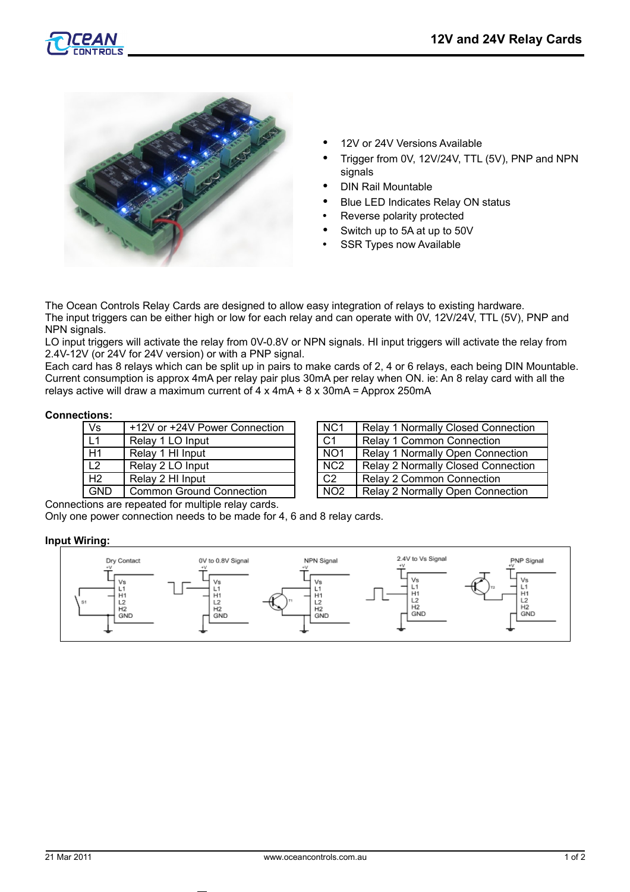



- 12V or 24V Versions Available
- Trigger from 0V, 12V/24V, TTL (5V), PNP and NPN signals
- DIN Rail Mountable
- Blue LED Indicates Relay ON status
- Reverse polarity protected
- Switch up to 5A at up to 50V
- **SSR Types now Available**

The Ocean Controls Relay Cards are designed to allow easy integration of relays to existing hardware. The input triggers can be either high or low for each relay and can operate with 0V, 12V/24V, TTL (5V), PNP and NPN signals.

LO input triggers will activate the relay from 0V-0.8V or NPN signals. HI input triggers will activate the relay from 2.4V-12V (or 24V for 24V version) or with a PNP signal.

Each card has 8 relays which can be split up in pairs to make cards of 2, 4 or 6 relays, each being DIN Mountable. Current consumption is approx 4mA per relay pair plus 30mA per relay when ON. ie: An 8 relay card with all the relays active will draw a maximum current of  $4 \times 4 \text{mA} + 8 \times 30 \text{mA} =$  Approx 250mA

#### **Connections:**

| Vs             | +12V or +24V Power Connection | NC <sub>1</sub>  | Relay 1 Normally Closed Con      |
|----------------|-------------------------------|------------------|----------------------------------|
| L1             | Relay 1 LO Input              | C <sub>1</sub>   | <b>Relay 1 Common Connection</b> |
| H1             | Relay 1 HI Input              | NO <sub>1</sub>  | Relay 1 Normally Open Conne      |
| L2             | Relay 2 LO Input              | N <sub>C</sub> 2 | Relay 2 Normally Closed Con      |
| H <sub>2</sub> | Relay 2 HI Input              | C <sub>2</sub>   | <b>Relay 2 Common Connection</b> |
| <b>GND</b>     | L Common Ground Connection    | NO2              | Relay 2 Normally Open Conn       |

| Vs             | +12V or +24V Power Connection   | NC <sub>1</sub>  | <b>Relay 1 Normally Closed Connection</b> |
|----------------|---------------------------------|------------------|-------------------------------------------|
| L1             | Relay 1 LO Input                | C <sub>1</sub>   | <b>Relay 1 Common Connection</b>          |
| Η1             | Relay 1 HI Input                | NO <sub>1</sub>  | Relay 1 Normally Open Connection          |
| L2             | Relay 2 LO Input                | N <sub>C</sub> 2 | <b>Relay 2 Normally Closed Connection</b> |
| H <sub>2</sub> | Relay 2 HI Input                | C <sub>2</sub>   | <b>Relay 2 Common Connection</b>          |
| GND            | <b>Common Ground Connection</b> | NO <sub>2</sub>  | Relay 2 Normally Open Connection          |

Connections are repeated for multiple relay cards.

Only one power connection needs to be made for 4, 6 and 8 relay cards.

#### **Input Wiring:**